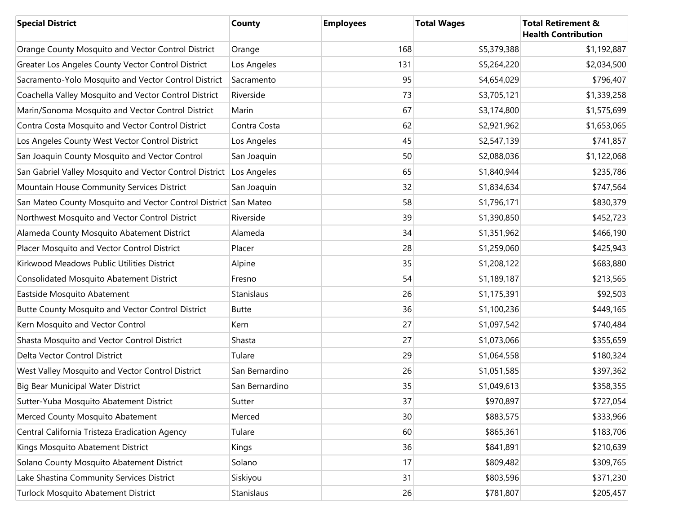| <b>Special District</b>                                         | <b>County</b>  | <b>Employees</b> | <b>Total Wages</b> | <b>Total Retirement &amp;</b><br><b>Health Contribution</b> |
|-----------------------------------------------------------------|----------------|------------------|--------------------|-------------------------------------------------------------|
| Orange County Mosquito and Vector Control District              | Orange         | 168              | \$5,379,388        | \$1,192,887                                                 |
| Greater Los Angeles County Vector Control District              | Los Angeles    | 131              | \$5,264,220        | \$2,034,500                                                 |
| Sacramento-Yolo Mosquito and Vector Control District            | Sacramento     | 95               | \$4,654,029        | \$796,407                                                   |
| Coachella Valley Mosquito and Vector Control District           | Riverside      | 73               | \$3,705,121        | \$1,339,258                                                 |
| Marin/Sonoma Mosquito and Vector Control District               | Marin          | 67               | \$3,174,800        | \$1,575,699                                                 |
| Contra Costa Mosquito and Vector Control District               | Contra Costa   | 62               | \$2,921,962        | \$1,653,065                                                 |
| Los Angeles County West Vector Control District                 | Los Angeles    | 45               | \$2,547,139        | \$741,857                                                   |
| San Joaquin County Mosquito and Vector Control                  | San Joaquin    | 50               | \$2,088,036        | \$1,122,068                                                 |
| San Gabriel Valley Mosquito and Vector Control District         | Los Angeles    | 65               | \$1,840,944        | \$235,786                                                   |
| Mountain House Community Services District                      | San Joaquin    | 32               | \$1,834,634        | \$747,564                                                   |
| San Mateo County Mosquito and Vector Control District San Mateo |                | 58               | \$1,796,171        | \$830,379                                                   |
| Northwest Mosquito and Vector Control District                  | Riverside      | 39               | \$1,390,850        | \$452,723                                                   |
| Alameda County Mosquito Abatement District                      | Alameda        | 34               | \$1,351,962        | \$466,190                                                   |
| Placer Mosquito and Vector Control District                     | Placer         | 28               | \$1,259,060        | \$425,943                                                   |
| Kirkwood Meadows Public Utilities District                      | Alpine         | 35               | \$1,208,122        | \$683,880                                                   |
| <b>Consolidated Mosquito Abatement District</b>                 | Fresno         | 54               | \$1,189,187        | \$213,565                                                   |
| Eastside Mosquito Abatement                                     | Stanislaus     | 26               | \$1,175,391        | \$92,503                                                    |
| Butte County Mosquito and Vector Control District               | <b>Butte</b>   | 36               | \$1,100,236        | \$449,165                                                   |
| Kern Mosquito and Vector Control                                | Kern           | 27               | \$1,097,542        | \$740,484                                                   |
| Shasta Mosquito and Vector Control District                     | Shasta         | 27               | \$1,073,066        | \$355,659                                                   |
| Delta Vector Control District                                   | Tulare         | 29               | \$1,064,558        | \$180,324                                                   |
| West Valley Mosquito and Vector Control District                | San Bernardino | 26               | \$1,051,585        | \$397,362                                                   |
| Big Bear Municipal Water District                               | San Bernardino | 35               | \$1,049,613        | \$358,355                                                   |
| Sutter-Yuba Mosquito Abatement District                         | Sutter         | 37               | \$970,897          | \$727,054                                                   |
| Merced County Mosquito Abatement                                | Merced         | 30               | \$883,575          | \$333,966                                                   |
| Central California Tristeza Eradication Agency                  | Tulare         | 60               | \$865,361          | \$183,706                                                   |
| Kings Mosquito Abatement District                               | Kings          | 36               | \$841,891          | \$210,639                                                   |
| Solano County Mosquito Abatement District                       | Solano         | 17               | \$809,482          | \$309,765                                                   |
| Lake Shastina Community Services District                       | Siskiyou       | 31               | \$803,596          | \$371,230                                                   |
| Turlock Mosquito Abatement District                             | Stanislaus     | 26               | \$781,807          | \$205,457                                                   |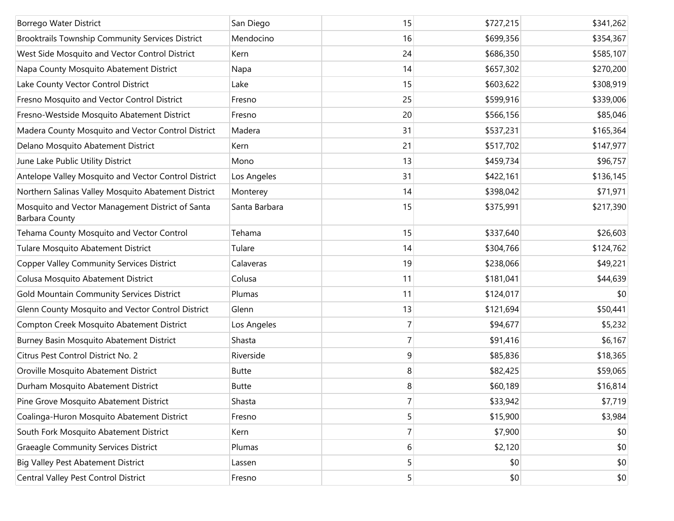| <b>Borrego Water District</b>                                             | San Diego     | 15             | \$727,215 | \$341,262 |
|---------------------------------------------------------------------------|---------------|----------------|-----------|-----------|
| Brooktrails Township Community Services District                          | Mendocino     | 16             | \$699,356 | \$354,367 |
| West Side Mosquito and Vector Control District                            | Kern          | 24             | \$686,350 | \$585,107 |
| Napa County Mosquito Abatement District                                   | Napa          | 14             | \$657,302 | \$270,200 |
| Lake County Vector Control District                                       | Lake          | 15             | \$603,622 | \$308,919 |
| Fresno Mosquito and Vector Control District                               | Fresno        | 25             | \$599,916 | \$339,006 |
| Fresno-Westside Mosquito Abatement District                               | Fresno        | 20             | \$566,156 | \$85,046  |
| Madera County Mosquito and Vector Control District                        | Madera        | 31             | \$537,231 | \$165,364 |
| Delano Mosquito Abatement District                                        | Kern          | 21             | \$517,702 | \$147,977 |
| June Lake Public Utility District                                         | Mono          | 13             | \$459,734 | \$96,757  |
| Antelope Valley Mosquito and Vector Control District                      | Los Angeles   | 31             | \$422,161 | \$136,145 |
| Northern Salinas Valley Mosquito Abatement District                       | Monterey      | 14             | \$398,042 | \$71,971  |
| Mosquito and Vector Management District of Santa<br><b>Barbara County</b> | Santa Barbara | 15             | \$375,991 | \$217,390 |
| Tehama County Mosquito and Vector Control                                 | Tehama        | 15             | \$337,640 | \$26,603  |
| Tulare Mosquito Abatement District                                        | Tulare        | 14             | \$304,766 | \$124,762 |
| <b>Copper Valley Community Services District</b>                          | Calaveras     | 19             | \$238,066 | \$49,221  |
| Colusa Mosquito Abatement District                                        | Colusa        | 11             | \$181,041 | \$44,639  |
| Gold Mountain Community Services District                                 | Plumas        | 11             | \$124,017 | \$0       |
| Glenn County Mosquito and Vector Control District                         | Glenn         | 13             | \$121,694 | \$50,441  |
| Compton Creek Mosquito Abatement District                                 | Los Angeles   | $\overline{7}$ | \$94,677  | \$5,232   |
| Burney Basin Mosquito Abatement District                                  | Shasta        | $\overline{7}$ | \$91,416  | \$6,167   |
| Citrus Pest Control District No. 2                                        | Riverside     | 9              | \$85,836  | \$18,365  |
| Oroville Mosquito Abatement District                                      | <b>Butte</b>  | 8              | \$82,425  | \$59,065  |
| Durham Mosquito Abatement District                                        | <b>Butte</b>  | 8              | \$60,189  | \$16,814  |
| Pine Grove Mosquito Abatement District                                    | Shasta        | 7              | \$33,942  | \$7,719   |
| Coalinga-Huron Mosquito Abatement District                                | Fresno        | 5              | \$15,900  | \$3,984   |
| South Fork Mosquito Abatement District                                    | Kern          | 7              | \$7,900   | \$0       |
| <b>Graeagle Community Services District</b>                               | Plumas        | 6              | \$2,120   | \$0       |
| <b>Big Valley Pest Abatement District</b>                                 | Lassen        | 5              | \$0       | \$0       |
| Central Valley Pest Control District                                      | Fresno        | 5              | \$0       | \$0       |